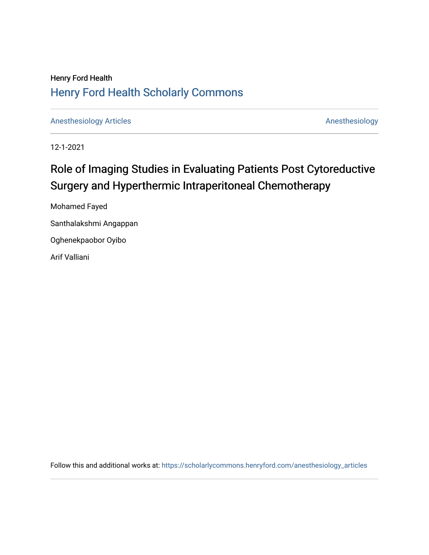# **Henry Ford Health Henry Ford Health Scholarly Commons**

**Anesthesiology Articles** 

Anesthesiology

12-1-2021

# Role of Imaging Studies in Evaluating Patients Post Cytoreductive Surgery and Hyperthermic Intraperitoneal Chemotherapy

Mohamed Fayed Santhalakshmi Angappan Oghenekpaobor Oyibo Arif Valliani

Follow this and additional works at: https://scholarlycommons.henryford.com/anesthesiology\_articles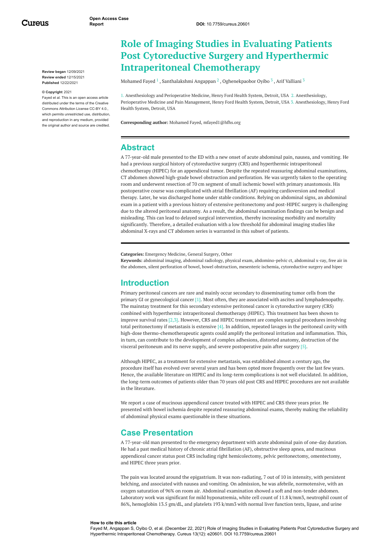Cureus

**Review began** 12/09/2021 **Review ended** 12/15/2021 **Published** 12/22/2021

#### **© Copyright** 2021

Fayed et al. This is an open access article distributed under the terms of the Creative Commons Attribution License CC-BY 4.0., which permits unrestricted use, distribution, and reproduction in any medium, provided the original author and source are credited.

# **Role of Imaging Studies in Evaluating Patients Post Cytoreductive Surgery and Hyperthermic Intraperitoneal Chemotherapy**

<span id="page-1-0"></span>[Mohamed](https://www.cureus.com/users/290565-mohamed-fayed) Fayed  $^1$  , [Santhalakshmi](https://www.cureus.com/users/310733-santhalakshmi-angappan) Angappan  $^2$  , [Oghenekpaobor](https://www.cureus.com/users/231593-oghenekpaobor-oyibo) Oyibo  $^3$  , Arif [Valliani](https://www.cureus.com/users/248475-arif-valliani)  $^3$ 

1. Anesthesiology and Perioperative Medicine, Henry Ford Health System, Detroit, USA 2. Anesthesiology, Perioperative Medicine and Pain Management, Henry Ford Health System, Detroit, USA 3. Anesthesiology, Henry Ford Health System, Detroit, USA

**Corresponding author:** Mohamed Fayed, mfayed1@hfhs.org

# **Abstract**

A 77-year-old male presented to the ED with a new onset of acute abdominal pain, nausea, and vomiting. He had a previous surgical history of cytoreductive surgery (CRS) and hyperthermic intraperitoneal chemotherapy (HIPEC) for an appendiceal tumor. Despite the repeated reassuring abdominal examinations, CT abdomen showed high-grade bowel obstruction and perforation. He was urgently taken to the operating room and underwent resection of 70 cm segment of small ischemic bowel with primary anastomosis. His postoperative course was complicated with atrial fibrillation (AF) requiring cardioversion and medical therapy. Later, he was discharged home under stable conditions. Relying on abdominal signs, an abdominal exam in a patient with a previous history of extensive peritonectomy and post-HIPEC surgery is challenging due to the altered peritoneal anatomy. As a result, the abdominal examination findings can be benign and misleading. This can lead to delayed surgical intervention, thereby increasing morbidity and mortality significantly. Therefore, a detailed evaluation with a low threshold for abdominal imaging studies like abdominal X-rays and CT abdomen series is warranted in this subset of patients.

**Categories:** Emergency Medicine, General Surgery, Other

**Keywords:** abdominal imaging, abdominal radiology, physical exam, abdomino-pelvic ct, abdominal x-ray, free air in the abdomen, silent perforation of bowel, bowel obstruction, mesenteric ischemia, cytoreductive surgery and hipec

# **Introduction**

Primary peritoneal cancers are rare and mainly occur secondary to disseminating tumor cells from the primary GI or gynecological cancer [1]. Most often, they are associated with ascites and lymphadenopathy. The mainstay treatment for this secondary extensive peritoneal cancer is cytoreductive surgery (CRS) combined with hyperthermic intraperitoneal chemotherapy (HIPEC). This treatment has been shown to improve survival rates [2,3]. However, CRS and HIPEC treatment are complex surgical procedures involving total peritonectomy if metastasis is extensive [4]. In addition, repeated lavages in the peritoneal cavity with high-dose thermo-chemotherapeutic agents could amplify the peritoneal irritation and inflammation. This, in turn, can contribute to the development of complex adhesions, distorted anatomy, destruction of the visceral peritoneum and its nerve supply, and severe postoperative pain after surgery [5].

Although HIPEC, as a treatment for extensive metastasis, was established almost a century ago, the procedure itself has evolved over several years and has been opted more frequently over the last few years. Hence, the available literature on HIPEC and its long-term complications is not well elucidated. In addition, the long-term outcomes of patients older than 70 years old post CRS and HIPEC procedures are not available in the literature.

We report a case of mucinous appendiceal cancer treated with HIPEC and CRS three years prior. He presented with bowel ischemia despite repeated reassuring abdominal exams, thereby making the reliability of abdominal physical exams questionable in these situations.

# **Case Presentation**

A 77-year-old man presented to the emergency department with acute abdominal pain of one-day duration. He had a past medical history of chronic atrial fibrillation (AF), obstructive sleep apnea, and mucinous appendiceal cancer status post CRS including right hemicolectomy, pelvic peritonectomy, omentectomy, and HIPEC three years prior.

The pain was located around the epigastrium. It was non-radiating, 7 out of 10 in intensity, with persistent belching, and associated with nausea and vomiting. On admission, he was afebrile, normotensive, with an oxygen saturation of 96% on room air. Abdominal examination showed a soft and non-tender abdomen. Laboratory work was significant for mild hyponatremia, white cell count of 11.8 k/mm3, neutrophil count of 86%, hemoglobin 13.5 gm/dL, and platelets 193 k/mm3 with normal liver function tests, lipase, and urine

#### **How to cite this article**

Fayed M, Angappan S, Oyibo O, et al. (December 22, 2021) Role of Imaging Studies in Evaluating Patients Post Cytoreductive Surgery and Hyperthermic Intraperitoneal Chemotherapy. Cureus 13(12): e20601. DOI 10.7759/cureus.20601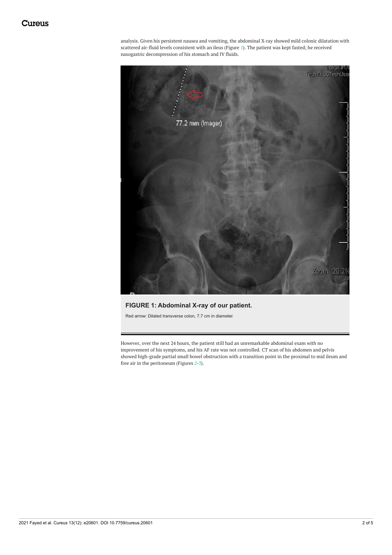<span id="page-2-0"></span>analysis. Given his persistent nausea and vomiting, the abdominal X-ray showed mild colonic dilatation with scattered air-fluid levels consistent with an ileus (Figure *[1](#page-1-0)*). The patient was kept fasted; he received nasogastric decompression of his stomach and IV fluids.



### <span id="page-2-1"></span>**FIGURE 1: Abdominal X-ray of our patient.**

Red arrow: Dilated transverse colon, 7.7 cm in diameter.

However, over the next 24 hours, the patient still had an unremarkable abdominal exam with no improvement of his symptoms, and his AF rate was not controlled. CT scan of his abdomen and pelvis showed high-grade partial small bowel obstruction with a transition point in the proximal to mid ileum and free air in the peritoneum (Figures *[2](#page-2-0)*-*[3](#page-2-1)*).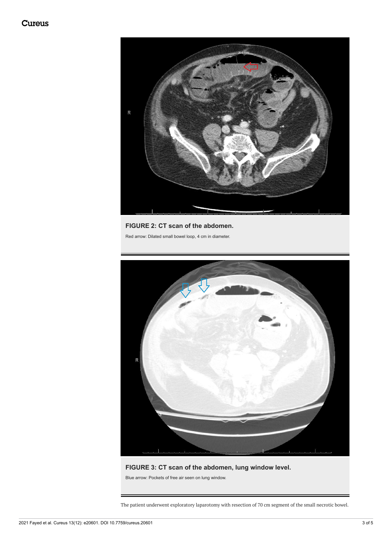

# <span id="page-3-0"></span>**FIGURE 2: CT scan of the abdomen.**

Red arrow: Dilated small bowel loop, 4 cm in diameter.



# **FIGURE 3: CT scan of the abdomen, lung window level.**

Blue arrow: Pockets of free air seen on lung window.

The patient underwent exploratory laparotomy with resection of 70 cm segment of the small necrotic bowel.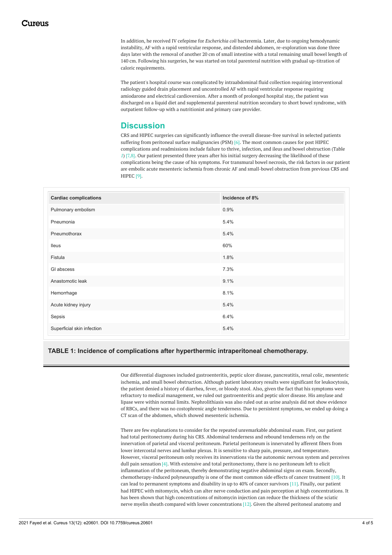In addition, he received IV cefepime for *Escherichia coli* bacteremia. Later, due to ongoing hemodynamic instability, AF with a rapid ventricular response, and distended abdomen, re-exploration was done three days later with the removal of another 20 cm of small intestine with a total remaining small bowel length of 140 cm. Following his surgeries, he was started on total parenteral nutrition with gradual up-titration of caloric requirements.

The patient's hospital course was complicated by intraabdominal fluid collection requiring interventional radiology guided drain placement and uncontrolled AF with rapid ventricular response requiring amiodarone and electrical cardioversion. After a month of prolonged hospital stay, the patient was discharged on a liquid diet and supplemental parenteral nutrition secondary to short bowel syndrome, with outpatient follow-up with a nutritionist and primary care provider.

# **Discussion**

CRS and HIPEC surgeries can significantly influence the overall disease-free survival in selected patients suffering from peritoneal surface malignancies (PSM) [6]. The most common causes for post HIPEC complications and readmissions include failure to thrive, infection, and ileus and bowel obstruction (Table *[1](#page-3-0)*) [7,8]. Our patient presented three years after his initial surgery decreasing the likelihood of these complications being the cause of his symptoms. For transmural bowel necrosis, the risk factors in our patient are embolic acute mesenteric ischemia from chronic AF and small-bowel obstruction from previous CRS and HIPEC [9].

| <b>Cardiac complications</b> | Incidence of 8% |
|------------------------------|-----------------|
| Pulmonary embolism           | 0.9%            |
| Pneumonia                    | 5.4%            |
| Pneumothorax                 | 5.4%            |
| lleus                        | 60%             |
| Fistula                      | 1.8%            |
| GI abscess                   | 7.3%            |
| Anastomotic leak             | 9.1%            |
| Hemorrhage                   | 8.1%            |
| Acute kidney injury          | 5.4%            |
| Sepsis                       | 6.4%            |
| Superficial skin infection   | 5.4%            |

### **TABLE 1: Incidence of complications after hyperthermic intraperitoneal chemotherapy.**

Our differential diagnoses included gastroenteritis, peptic ulcer disease, pancreatitis, renal colic, mesenteric ischemia, and small bowel obstruction. Although patient laboratory results were significant for leukocytosis, the patient denied a history of diarrhea, fever, or bloody stool. Also, given the fact that his symptoms were refractory to medical management, we ruled out gastroenteritis and peptic ulcer disease. His amylase and lipase were within normal limits. Nephrolithiasis was also ruled out as urine analysis did not show evidence of RBCs, and there was no costophrenic angle tenderness. Due to persistent symptoms, we ended up doing a CT scan of the abdomen, which showed mesenteric ischemia.

There are few explanations to consider for the repeated unremarkable abdominal exam. First, our patient had total peritonectomy during his CRS. Abdominal tenderness and rebound tenderness rely on the innervation of parietal and visceral peritoneum. Parietal peritoneum is innervated by afferent fibers from lower intercostal nerves and lumbar plexus. It is sensitive to sharp pain, pressure, and temperature. However, visceral peritoneum only receives its innervations via the autonomic nervous system and perceives dull pain sensation [4]. With extensive and total peritonectomy, there is no peritoneum left to elicit inflammation of the peritoneum, thereby demonstrating negative abdominal signs on exam. Secondly, chemotherapy-induced polyneuropathy is one of the most common side effects of cancer treatment [10]. It can lead to permanent symptoms and disability in up to 40% of cancer survivors [11]. Finally, our patient had HIPEC with mitomycin, which can alter nerve conduction and pain perception at high concentrations. It has been shown that high concentrations of mitomycin injection can reduce the thickness of the sciatic nerve myelin sheath compared with lower concentrations [12]. Given the altered peritoneal anatomy and